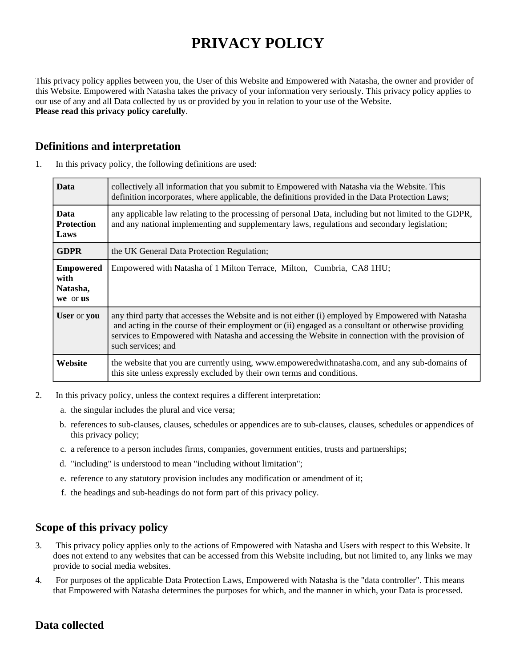# **PRIVACY POLICY**

This privacy policy applies between you, the User of this Website and Empowered with Natasha, the owner and provider of this Website. Empowered with Natasha takes the privacy of your information very seriously. This privacy policy applies to our use of any and all Data collected by us or provided by you in relation to your use of the Website. **Please read this privacy policy carefully**.

## **Definitions and interpretation**

| <b>Data</b>                                      | collectively all information that you submit to Empowered with Natasha via the Website. This<br>definition incorporates, where applicable, the definitions provided in the Data Protection Laws;                                                                                                                                    |
|--------------------------------------------------|-------------------------------------------------------------------------------------------------------------------------------------------------------------------------------------------------------------------------------------------------------------------------------------------------------------------------------------|
| <b>Data</b><br><b>Protection</b><br>Laws         | any applicable law relating to the processing of personal Data, including but not limited to the GDPR,<br>and any national implementing and supplementary laws, regulations and secondary legislation;                                                                                                                              |
| <b>GDPR</b>                                      | the UK General Data Protection Regulation;                                                                                                                                                                                                                                                                                          |
| <b>Empowered</b><br>with<br>Natasha,<br>we or us | Empowered with Natasha of 1 Milton Terrace, Milton, Cumbria, CA8 1HU;                                                                                                                                                                                                                                                               |
| User or you                                      | any third party that accesses the Website and is not either (i) employed by Empowered with Natasha<br>and acting in the course of their employment or (ii) engaged as a consultant or otherwise providing<br>services to Empowered with Natasha and accessing the Website in connection with the provision of<br>such services; and |
| Website                                          | the website that you are currently using, www.empoweredwithnatasha.com, and any sub-domains of<br>this site unless expressly excluded by their own terms and conditions.                                                                                                                                                            |

1. In this privacy policy, the following definitions are used:

- 2. In this privacy policy, unless the context requires a different interpretation:
	- a. the singular includes the plural and vice versa;
	- b. references to sub-clauses, clauses, schedules or appendices are to sub-clauses, clauses, schedules or appendices of this privacy policy;
	- c. a reference to a person includes firms, companies, government entities, trusts and partnerships;
	- d. "including" is understood to mean "including without limitation";
	- e. reference to any statutory provision includes any modification or amendment of it;
	- f. the headings and sub-headings do not form part of this privacy policy.

#### **Scope of this privacy policy**

- 3. This privacy policy applies only to the actions of Empowered with Natasha and Users with respect to this Website. It does not extend to any websites that can be accessed from this Website including, but not limited to, any links we may provide to social media websites.
- 4. For purposes of the applicable Data Protection Laws, Empowered with Natasha is the "data controller". This means that Empowered with Natasha determines the purposes for which, and the manner in which, your Data is processed.

## **Data collected**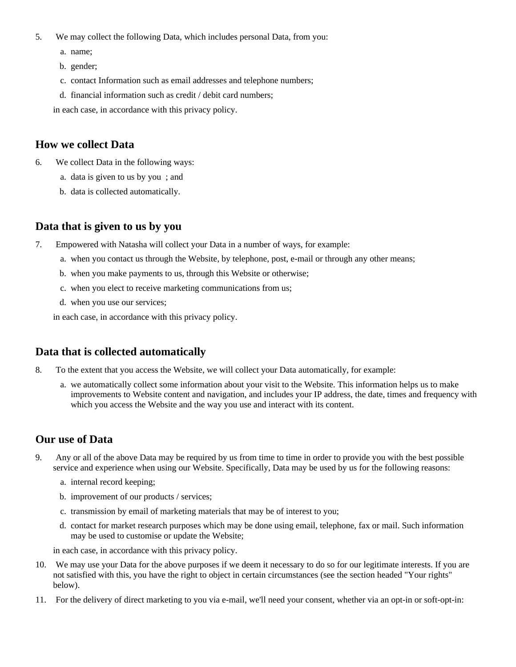- 5. We may collect the following Data, which includes personal Data, from you:
	- a. name;
	- b. gender;
	- c. contact Information such as email addresses and telephone numbers;
	- d. financial information such as credit / debit card numbers;

in each case, in accordance with this privacy policy.

#### **How we collect Data**

- 6. We collect Data in the following ways:
	- a. data is given to us by you ; and
	- b. data is collected automatically.

## **Data that is given to us by you**

- 7. Empowered with Natasha will collect your Data in a number of ways, for example:
	- a. when you contact us through the Website, by telephone, post, e-mail or through any other means;
	- b. when you make payments to us, through this Website or otherwise;
	- c. when you elect to receive marketing communications from us;
	- d. when you use our services;

in each case, in accordance with this privacy policy.

## **Data that is collected automatically**

- 8. To the extent that you access the Website, we will collect your Data automatically, for example:
	- a. we automatically collect some information about your visit to the Website. This information helps us to make improvements to Website content and navigation, and includes your IP address, the date, times and frequency with which you access the Website and the way you use and interact with its content.

## **Our use of Data**

- 9. Any or all of the above Data may be required by us from time to time in order to provide you with the best possible service and experience when using our Website. Specifically, Data may be used by us for the following reasons:
	- a. internal record keeping;
	- b. improvement of our products / services;
	- c. transmission by email of marketing materials that may be of interest to you;
	- d. contact for market research purposes which may be done using email, telephone, fax or mail. Such information may be used to customise or update the Website;

in each case, in accordance with this privacy policy.

- 10. We may use your Data for the above purposes if we deem it necessary to do so for our legitimate interests. If you are not satisfied with this, you have the right to object in certain circumstances (see the section headed "Your rights" below).
- 11. For the delivery of direct marketing to you via e-mail, we'll need your consent, whether via an opt-in or soft-opt-in: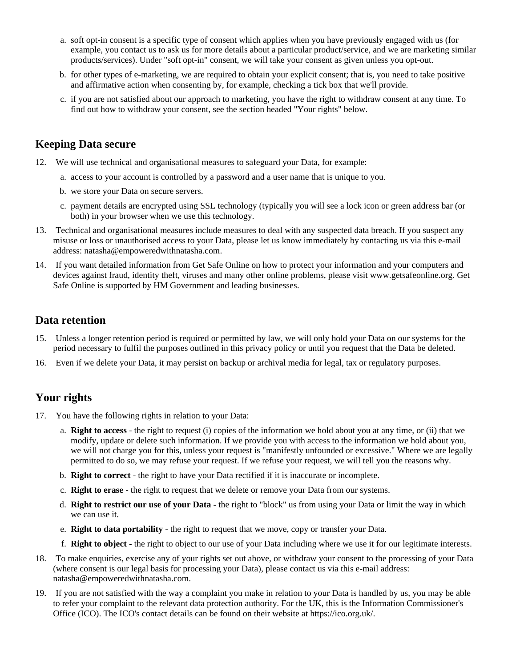- a. soft opt-in consent is a specific type of consent which applies when you have previously engaged with us (for example, you contact us to ask us for more details about a particular product/service, and we are marketing similar products/services). Under "soft opt-in" consent, we will take your consent as given unless you opt-out.
- b. for other types of e-marketing, we are required to obtain your explicit consent; that is, you need to take positive and affirmative action when consenting by, for example, checking a tick box that we'll provide.
- c. if you are not satisfied about our approach to marketing, you have the right to withdraw consent at any time. To find out how to withdraw your consent, see the section headed "Your rights" below.

#### **Keeping Data secure**

- 12. We will use technical and organisational measures to safeguard your Data, for example:
	- a. access to your account is controlled by a password and a user name that is unique to you.
	- b. we store your Data on secure servers.
	- c. payment details are encrypted using SSL technology (typically you will see a lock icon or green address bar (or both) in your browser when we use this technology.
- 13. Technical and organisational measures include measures to deal with any suspected data breach. If you suspect any misuse or loss or unauthorised access to your Data, please let us know immediately by contacting us via this e-mail address: natasha@empoweredwithnatasha.com.
- 14. If you want detailed information from Get Safe Online on how to protect your information and your computers and devices against fraud, identity theft, viruses and many other online problems, please visit www.getsafeonline.org. Get Safe Online is supported by HM Government and leading businesses.

#### **Data retention**

- 15. Unless a longer retention period is required or permitted by law, we will only hold your Data on our systems for the period necessary to fulfil the purposes outlined in this privacy policy or until you request that the Data be deleted.
- 16. Even if we delete your Data, it may persist on backup or archival media for legal, tax or regulatory purposes.

#### **Your rights**

- 17. You have the following rights in relation to your Data:
	- a. **Right to access** the right to request (i) copies of the information we hold about you at any time, or (ii) that we modify, update or delete such information. If we provide you with access to the information we hold about you, we will not charge you for this, unless your request is "manifestly unfounded or excessive." Where we are legally permitted to do so, we may refuse your request. If we refuse your request, we will tell you the reasons why.
	- b. **Right to correct** the right to have your Data rectified if it is inaccurate or incomplete.
	- c. **Right to erase** the right to request that we delete or remove your Data from our systems.
	- d. **Right to restrict our use of your Data** the right to "block" us from using your Data or limit the way in which we can use it.
	- e. **Right to data portability** the right to request that we move, copy or transfer your Data.
	- f. **Right to object** the right to object to our use of your Data including where we use it for our legitimate interests.
- 18. To make enquiries, exercise any of your rights set out above, or withdraw your consent to the processing of your Data (where consent is our legal basis for processing your Data), please contact us via this e-mail address: natasha@empoweredwithnatasha.com.
- 19. If you are not satisfied with the way a complaint you make in relation to your Data is handled by us, you may be able to refer your complaint to the relevant data protection authority. For the UK, this is the Information Commissioner's Office (ICO). The ICO's contact details can be found on their website at https://ico.org.uk/.